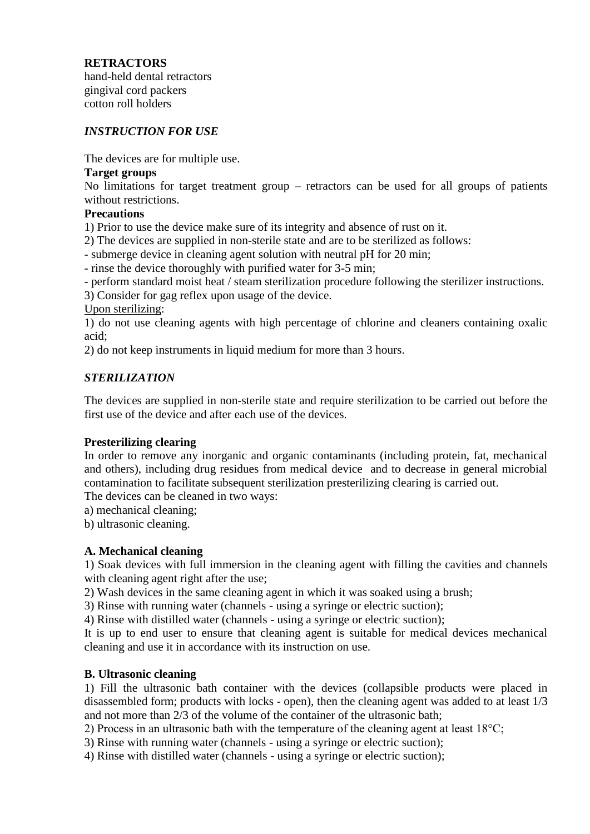## **RETRACTORS**

hand-held dental retractors gingival cord packers cotton roll holders

## *INSTRUCTION FOR USE*

The devices are for multiple use.

### **Target groups**

No limitations for target treatment group – retractors can be used for all groups of patients without restrictions.

#### **Precautions**

1) Prior to use the device make sure of its integrity and absence of rust on it.

2) The devices are supplied in non-sterile state and are to be sterilized as follows:

- submerge device in cleaning agent solution with neutral pH for 20 min;

- rinse the device thoroughly with purified water for 3-5 min;

- perform standard moist heat / steam sterilization procedure following the sterilizer instructions.

3) Consider for gag reflex upon usage of the device.

#### Upon sterilizing:

1) do not use cleaning agents with high percentage of chlorine and cleaners containing oxalic acid;

2) do not keep instruments in liquid medium for more than 3 hours.

# *STERILIZATION*

The devices are supplied in non-sterile state and require sterilization to be carried out before the first use of the device and after each use of the devices.

## **Presterilizing clearing**

In order to remove any inorganic and organic contaminants (including protein, fat, mechanical and others), including drug residues from medical device and to decrease in general microbial contamination to facilitate subsequent sterilization presterilizing clearing is carried out.

The devices can be cleaned in two ways:

a) mechanical cleaning;

b) ultrasonic cleaning.

## **A. Mechanical cleaning**

1) Soak devices with full immersion in the cleaning agent with filling the cavities and channels with cleaning agent right after the use;

2) Wash devices in the same cleaning agent in which it was soaked using a brush;

3) Rinse with running water (channels - using a syringe or electric suction);

4) Rinse with distilled water (channels - using a syringe or electric suction);

It is up to end user to ensure that cleaning agent is suitable for medical devices mechanical cleaning and use it in accordance with its instruction on use.

## **B. Ultrasonic cleaning**

1) Fill the ultrasonic bath container with the devices (collapsible products were placed in disassembled form; products with locks - open), then the cleaning agent was added to at least 1/3 and not more than 2/3 of the volume of the container of the ultrasonic bath;

2) Process in an ultrasonic bath with the temperature of the cleaning agent at least 18°C;

3) Rinse with running water (channels - using a syringe or electric suction);

4) Rinse with distilled water (channels - using a syringe or electric suction);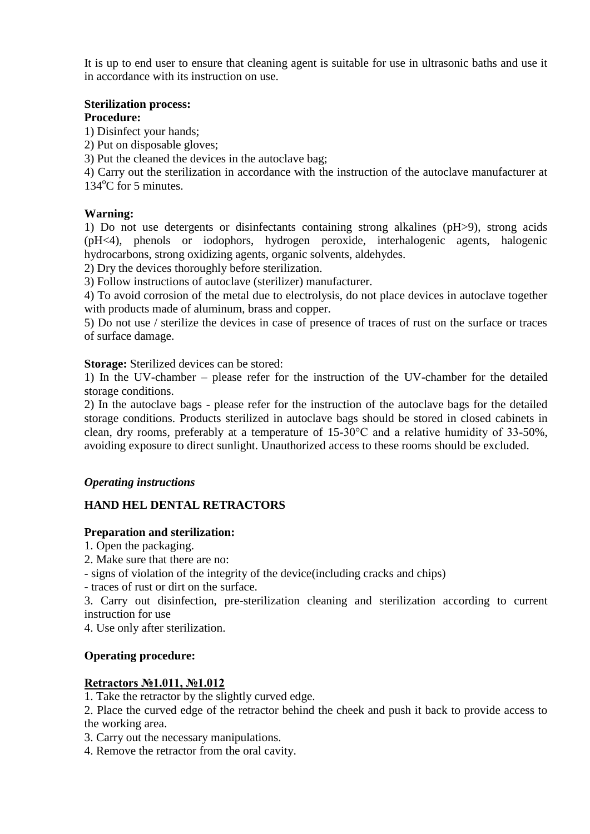It is up to end user to ensure that cleaning agent is suitable for use in ultrasonic baths and use it in accordance with its instruction on use.

### **Sterilization process:**

### **Procedure:**

1) Disinfect your hands;

2) Put on disposable gloves;

3) Put the cleaned the devices in the autoclave bag;

4) Carry out the sterilization in accordance with the instruction of the autoclave manufacturer at  $134^{\circ}$ C for 5 minutes.

### **Warning:**

1) Do not use detergents or disinfectants containing strong alkalines (pH>9), strong acids (pH<4), phenols or iodophors, hydrogen peroxide, interhalogenic agents, halogenic hydrocarbons, strong oxidizing agents, organic solvents, aldehydes.

2) Dry the devices thoroughly before sterilization.

3) Follow instructions of autoclave (sterilizer) manufacturer.

4) To avoid corrosion of the metal due to electrolysis, do not place devices in autoclave together with products made of aluminum, brass and copper.

5) Do not use / sterilize the devices in case of presence of traces of rust on the surface or traces of surface damage.

**Storage:** Sterilized devices can be stored:

1) In the UV-chamber – please refer for the instruction of the UV-chamber for the detailed storage conditions.

2) In the autoclave bags - please refer for the instruction of the autoclave bags for the detailed storage conditions. Products sterilized in autoclave bags should be stored in closed cabinets in clean, dry rooms, preferably at a temperature of 15-30°C and a relative humidity of 33-50%, avoiding exposure to direct sunlight. Unauthorized access to these rooms should be excluded.

## *Operating instructions*

## **HAND HEL DENTAL RETRACTORS**

## **Preparation and sterilization:**

1. Open the packaging.

2. Make sure that there are no:

- signs of violation of the integrity of the device(including cracks and chips)

- traces of rust or dirt on the surface.

3. Carry out disinfection, pre-sterilization cleaning and sterilization according to current instruction for use

4. Use only after sterilization.

#### **Operating procedure:**

## **Retractors №1.011, №1.012**

1. Take the retractor by the slightly curved edge.

2. Place the curved edge of the retractor behind the cheek and push it back to provide access to the working area.

3. Carry out the necessary manipulations.

4. Remove the retractor from the oral cavity.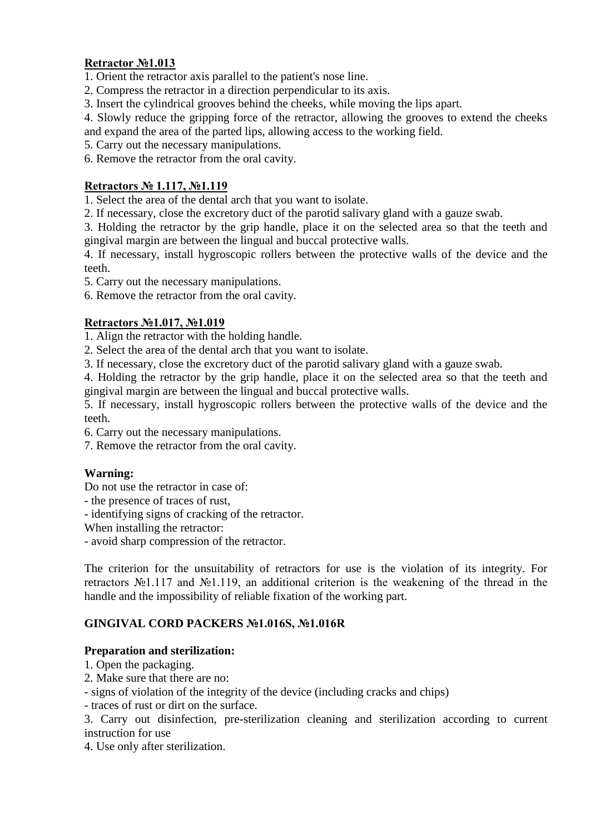### **Retractor №1.013**

1. Orient the retractor axis parallel to the patient's nose line.

2. Compress the retractor in a direction perpendicular to its axis.

3. Insert the cylindrical grooves behind the cheeks, while moving the lips apart.

4. Slowly reduce the gripping force of the retractor, allowing the grooves to extend the cheeks and expand the area of the parted lips, allowing access to the working field.

5. Carry out the necessary manipulations.

6. Remove the retractor from the oral cavity.

## **Retractors № 1.117, №1.119**

1. Select the area of the dental arch that you want to isolate.

2. If necessary, close the excretory duct of the parotid salivary gland with a gauze swab.

3. Holding the retractor by the grip handle, place it on the selected area so that the teeth and gingival margin are between the lingual and buccal protective walls.

4. If necessary, install hygroscopic rollers between the protective walls of the device and the teeth.

5. Carry out the necessary manipulations.

6. Remove the retractor from the oral cavity.

## **Retractors №1.017, №1.019**

1. Align the retractor with the holding handle.

2. Select the area of the dental arch that you want to isolate.

3. If necessary, close the excretory duct of the parotid salivary gland with a gauze swab.

4. Holding the retractor by the grip handle, place it on the selected area so that the teeth and gingival margin are between the lingual and buccal protective walls.

5. If necessary, install hygroscopic rollers between the protective walls of the device and the teeth.

6. Carry out the necessary manipulations.

7. Remove the retractor from the oral cavity.

## **Warning:**

Do not use the retractor in case of:

- the presence of traces of rust,
- identifying signs of cracking of the retractor.

When installing the retractor:

- avoid sharp compression of the retractor.

The criterion for the unsuitability of retractors for use is the violation of its integrity. For retractors №1.117 and №1.119, an additional criterion is the weakening of the thread in the handle and the impossibility of reliable fixation of the working part.

## **GINGIVAL CORD PACKERS №1.016S, №1.016R**

#### **Preparation and sterilization:**

- 1. Open the packaging.
- 2. Make sure that there are no:

- signs of violation of the integrity of the device (including cracks and chips)

- traces of rust or dirt on the surface.

3. Carry out disinfection, pre-sterilization cleaning and sterilization according to current instruction for use

4. Use only after sterilization.